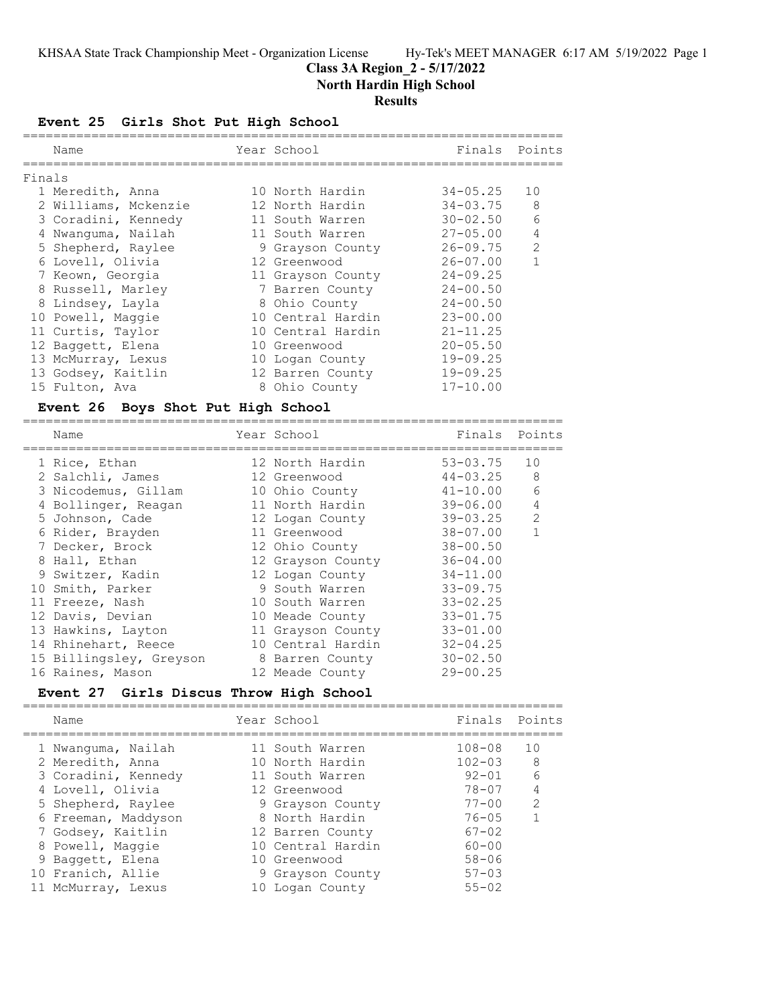## **Class 3A Region\_2 - 5/17/2022**

**North Hardin High School**

## **Results**

**Event 25 Girls Shot Put High School**

|        | Name                 | Year School       | Finals          | Points         |
|--------|----------------------|-------------------|-----------------|----------------|
| Finals |                      |                   |                 |                |
|        | 1 Meredith, Anna     | 10 North Hardin   | 34-05.25        | 10             |
|        | 2 Williams, Mckenzie | 12 North Hardin   | 34-03.75        | 8              |
|        | 3 Coradini, Kennedy  | 11 South Warren   | 30-02.50        | 6              |
|        | 4 Nwanguma, Nailah   | 11 South Warren   | $27 - 0.5$ , 00 | $\overline{4}$ |
|        | 5 Shepherd, Raylee   | 9 Grayson County  | 26-09.75        | $\overline{2}$ |
|        | 6 Lovell, Olivia     | 12 Greenwood      | $26 - 07.00$    | 1              |
|        | 7 Keown, Georgia     | 11 Grayson County | $24 - 09.25$    |                |
|        | 8 Russell, Marley    | 7 Barren County   | $24 - 00.50$    |                |
|        | 8 Lindsey, Layla     | 8 Ohio County     | $24 - 00.50$    |                |
|        | 10 Powell, Maggie    | 10 Central Hardin | $23 - 00.00$    |                |
|        | 11 Curtis, Taylor    | 10 Central Hardin | $21 - 11.25$    |                |
|        | 12 Baggett, Elena    | 10 Greenwood      | $20 - 05.50$    |                |
|        | 13 McMurray, Lexus   | 10 Logan County   | $19 - 09.25$    |                |
|        | 13 Godsey, Kaitlin   | 12 Barren County  | $19 - 09.25$    |                |
|        | 15 Fulton, Ava       | 8 Ohio County     | $17 - 10.00$    |                |
|        |                      |                   |                 |                |

### **Event 26 Boys Shot Put High School**

| Name                    | Year School       | Finals       | Points         |
|-------------------------|-------------------|--------------|----------------|
| 1 Rice, Ethan           | 12 North Hardin   | 53-03.75     | 10             |
| 2 Salchli, James        | 12 Greenwood      | $44 - 03.25$ | 8              |
| 3 Nicodemus, Gillam     | 10 Ohio County    | $41 - 10.00$ | 6              |
| 4 Bollinger, Reagan     | 11 North Hardin   | $39 - 06.00$ | 4              |
| 5 Johnson, Cade         | 12 Logan County   | 39-03.25     | $\overline{2}$ |
| 6 Rider, Brayden        | 11 Greenwood      | $38 - 07.00$ |                |
| 7 Decker, Brock         | 12 Ohio County    | $38 - 00.50$ |                |
| 8 Hall, Ethan           | 12 Grayson County | $36 - 04.00$ |                |
| 9 Switzer, Kadin        | 12 Logan County   | $34 - 11.00$ |                |
| 10 Smith, Parker        | 9 South Warren    | $33 - 09.75$ |                |
| 11 Freeze, Nash         | 10 South Warren   | $33 - 02.25$ |                |
| 12 Davis, Devian        | 10 Meade County   | $33 - 01.75$ |                |
| 13 Hawkins, Layton      | 11 Grayson County | $33 - 01.00$ |                |
| 14 Rhinehart, Reece     | 10 Central Hardin | $32 - 04.25$ |                |
| 15 Billingsley, Greyson | 8 Barren County   | $30 - 02.50$ |                |
| 16 Raines, Mason        | 12 Meade County   | $29 - 00.25$ |                |

## **Event 27 Girls Discus Throw High School**

=======================================================================

| Name                | Year School       | Finals     | Points         |
|---------------------|-------------------|------------|----------------|
| 1 Nwanguma, Nailah  | 11 South Warren   | $108 - 08$ | 10             |
| 2 Meredith, Anna    | 10 North Hardin   | $102 - 03$ | 8              |
| 3 Coradini, Kennedy | 11 South Warren   | $92 - 01$  | 6              |
| 4 Lovell, Olivia    | 12 Greenwood      | 78-07      | $\overline{4}$ |
| 5 Shepherd, Raylee  | 9 Grayson County  | $77 - 00$  | $\mathcal{L}$  |
| 6 Freeman, Maddyson | 8 North Hardin    | $76 - 05$  |                |
| 7 Godsey, Kaitlin   | 12 Barren County  | $67 - 02$  |                |
| 8 Powell, Maggie    | 10 Central Hardin | 60-00      |                |
| 9 Baggett, Elena    | 10 Greenwood      | $58 - 06$  |                |
| 10 Franich, Allie   | 9 Grayson County  | $57 - 03$  |                |
| 11 McMurray, Lexus  | 10 Logan County   | $55 - 02$  |                |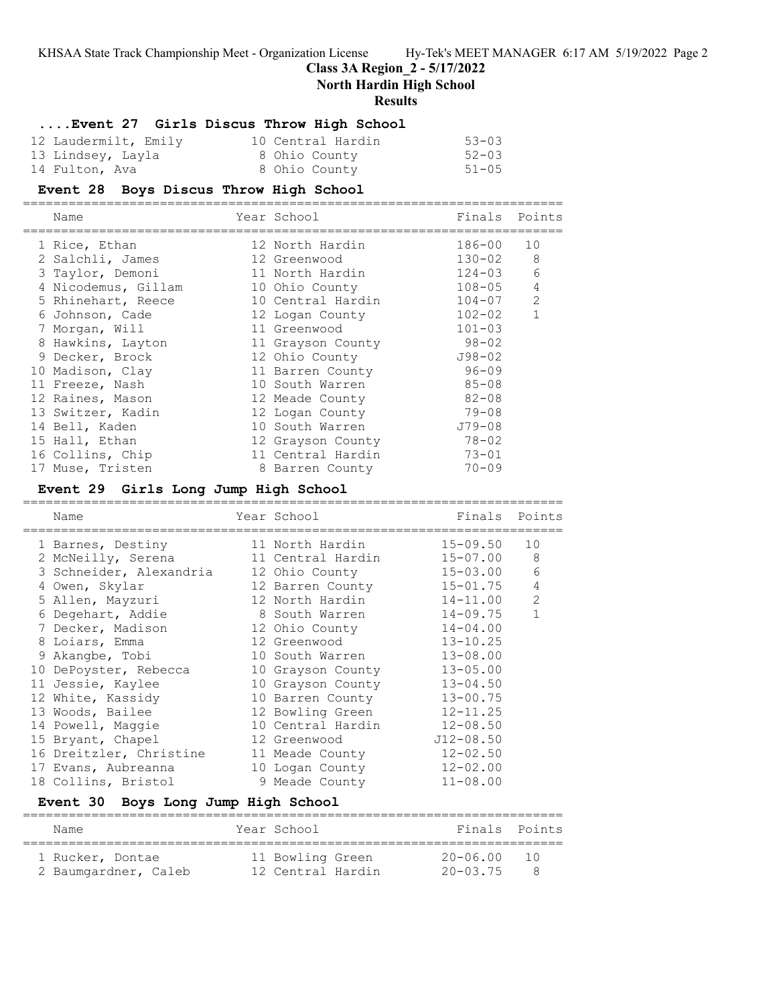**Class 3A Region\_2 - 5/17/2022**

**North Hardin High School**

#### **Results**

### **....Event 27 Girls Discus Throw High School**

| 12 Laudermilt, Emily | 10 Central Hardin | $53 - 03$ |
|----------------------|-------------------|-----------|
| 13 Lindsey, Layla    | 8 Ohio County     | $52 - 03$ |
| 14 Fulton, Ava       | 8 Ohio County     | $51 - 05$ |

#### **Event 28 Boys Discus Throw High School**

======================================================================= Name **The School School** Finals Points ======================================================================= 1 Rice, Ethan 12 North Hardin 186-00 10 2 Salchli, James 12 Greenwood 130-02 8 3 Taylor, Demoni 11 North Hardin 124-03 6 4 Nicodemus, Gillam 10 Ohio County 108-05 4 5 Rhinehart, Reece 10 Central Hardin 104-07 2 6 Johnson, Cade 12 Logan County 102-02 1 7 Morgan, Will 11 Greenwood 101-03 8 Hawkins, Layton 11 Grayson County 98-02 9 Decker, Brock 12 Ohio County J98-02 10 Madison, Clay 11 Barren County 96-09 11 Freeze, Nash 10 South Warren 85-08

| 12 Raines, Mason  | 12 Meade County   | $82 - 08$  |
|-------------------|-------------------|------------|
| 13 Switzer, Kadin | 12 Logan County   | $79 - 08$  |
| 14 Bell, Kaden    | 10 South Warren   | $J79 - 08$ |
| 15 Hall, Ethan    | 12 Grayson County | $78 - 02$  |
| 16 Collins, Chip  | 11 Central Hardin | $73 - 01$  |
| 17 Muse, Tristen  | 8 Barren County   | $70 - 09$  |

### **Event 29 Girls Long Jump High School**

| Name                    | Year School       | Finals Points |                |
|-------------------------|-------------------|---------------|----------------|
| 1 Barnes, Destiny       | 11 North Hardin   | 15-09.50      | 10             |
| 2 McNeilly, Serena      | 11 Central Hardin | $15 - 07.00$  | 8              |
| 3 Schneider, Alexandria | 12 Ohio County    | $15 - 03.00$  | 6              |
| 4 Owen, Skylar          | 12 Barren County  | 15-01.75      | $\overline{4}$ |
| 5 Allen, Mayzuri        | 12 North Hardin   | 14-11.00      | 2              |
| 6 Degehart, Addie       | 8 South Warren    | $14 - 09.75$  | $\mathbf{1}$   |
| 7 Decker, Madison       | 12 Ohio County    | $14 - 04.00$  |                |
| 8 Loiars, Emma          | 12 Greenwood      | $13 - 10.25$  |                |
| 9 Akangbe, Tobi         | 10 South Warren   | $13 - 08.00$  |                |
| 10 DePoyster, Rebecca   | 10 Grayson County | $13 - 05.00$  |                |
| 11 Jessie, Kaylee       | 10 Grayson County | $13 - 04.50$  |                |
| 12 White, Kassidy       | 10 Barren County  | $13 - 00.75$  |                |
| 13 Woods, Bailee        | 12 Bowling Green  | $12 - 11.25$  |                |
| 14 Powell, Maggie       | 10 Central Hardin | $12 - 08.50$  |                |
| 15 Bryant, Chapel       | 12 Greenwood      | $J12 - 08.50$ |                |
| 16 Dreitzler, Christine | 11 Meade County   | $12 - 02.50$  |                |
| 17 Evans, Aubreanna     | 10 Logan County   | $12 - 02.00$  |                |
| 18 Collins, Bristol     | 9 Meade County    | $11 - 08.00$  |                |

### **Event 30 Boys Long Jump High School**

| Name                 | Year School |                   | Finals Points |  |
|----------------------|-------------|-------------------|---------------|--|
| 1 Rucker, Dontae     |             | 11 Bowling Green  | 20-06 00      |  |
| 2 Baumgardner, Caleb |             | 12 Central Hardin | 20-03 75      |  |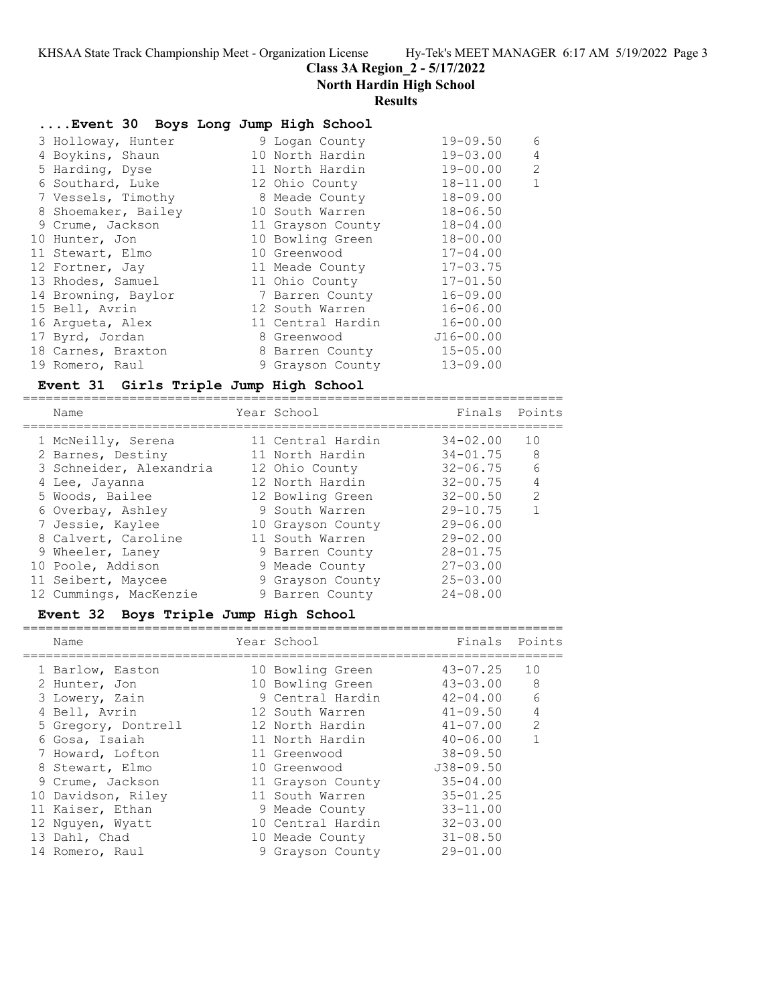**Class 3A Region\_2 - 5/17/2022**

**North Hardin High School**

## **Results**

|  | Event 30 Boys Long Jump High School |                   |               |                |
|--|-------------------------------------|-------------------|---------------|----------------|
|  | 3 Holloway, Hunter                  | 9 Logan County    | $19 - 09.50$  | 6              |
|  | 4 Boykins, Shaun                    | 10 North Hardin   | $19 - 03.00$  | 4              |
|  | 5 Harding, Dyse                     | 11 North Hardin   | $19 - 00.00$  | $\overline{2}$ |
|  | 6 Southard, Luke                    | 12 Ohio County    | $18 - 11.00$  | $\mathbf{1}$   |
|  | 7 Vessels, Timothy                  | 8 Meade County    | $18 - 09.00$  |                |
|  | 8 Shoemaker, Bailey                 | 10 South Warren   | $18 - 06.50$  |                |
|  | 9 Crume, Jackson                    | 11 Grayson County | $18 - 04.00$  |                |
|  | 10 Hunter, Jon                      | 10 Bowling Green  | $18 - 00.00$  |                |
|  | 11 Stewart, Elmo                    | 10 Greenwood      | $17 - 04.00$  |                |
|  | 12 Fortner, Jay                     | 11 Meade County   | $17 - 03.75$  |                |
|  | 13 Rhodes, Samuel                   | 11 Ohio County    | $17 - 01.50$  |                |
|  | 14 Browning, Baylor                 | 7 Barren County   | $16 - 09.00$  |                |
|  | 15 Bell, Avrin                      | 12 South Warren   | $16 - 06.00$  |                |
|  | 16 Arqueta, Alex                    | 11 Central Hardin | $16 - 00.00$  |                |
|  | 17 Byrd, Jordan                     | 8 Greenwood       | $J16 - 00.00$ |                |
|  | 18 Carnes, Braxton                  | 8 Barren County   | $15 - 05.00$  |                |
|  | 19 Romero, Raul                     | 9 Grayson County  | $13 - 09.00$  |                |
|  |                                     |                   |               |                |

#### **Event 31 Girls Triple Jump High School** =======================================================================

| Name                    | Year School       | Finals       | Points        |
|-------------------------|-------------------|--------------|---------------|
| 1 McNeilly, Serena      | 11 Central Hardin | $34 - 02.00$ | 10            |
| 2 Barnes, Destiny       | 11 North Hardin   | $34 - 01.75$ | 8             |
| 3 Schneider, Alexandria | 12 Ohio County    | $32 - 06.75$ | 6             |
| 4 Lee, Jayanna          | 12 North Hardin   | $32 - 00.75$ | 4             |
| 5 Woods, Bailee         | 12 Bowling Green  | $32 - 00.50$ | $\mathcal{L}$ |
| 6 Overbay, Ashley       | 9 South Warren    | $29 - 10.75$ |               |
| 7 Jessie, Kaylee        | 10 Grayson County | $29 - 06.00$ |               |
| 8 Calvert, Caroline     | 11 South Warren   | $29 - 02.00$ |               |
| 9 Wheeler, Laney        | 9 Barren County   | $28 - 01.75$ |               |
| 10 Poole, Addison       | 9 Meade County    | $27 - 03.00$ |               |
| 11 Seibert, Maycee      | 9 Grayson County  | $25 - 03.00$ |               |
| 12 Cummings, MacKenzie  | 9 Barren County   | $24 - 08.00$ |               |

## **Event 32 Boys Triple Jump High School**

| Name                | Year School       | Finals        | Points         |
|---------------------|-------------------|---------------|----------------|
| 1 Barlow, Easton    | 10 Bowling Green  | $43 - 07.25$  | 10             |
| 2 Hunter, Jon       | 10 Bowling Green  | $43 - 03.00$  | 8              |
| 3 Lowery, Zain      | 9 Central Hardin  | 42-04.00      | 6              |
| 4 Bell, Avrin       | 12 South Warren   | $41 - 09.50$  | $\overline{4}$ |
| 5 Gregory, Dontrell | 12 North Hardin   | $41 - 07.00$  | 2              |
| 6 Gosa, Isaiah      | 11 North Hardin   | $40 - 06.00$  |                |
| 7 Howard, Lofton    | 11 Greenwood      | $38 - 09.50$  |                |
| 8 Stewart, Elmo     | 10 Greenwood      | $J38 - 09.50$ |                |
| 9 Crume, Jackson    | 11 Grayson County | $35 - 04.00$  |                |
| 10 Davidson, Riley  | 11 South Warren   | $35 - 01.25$  |                |
| 11 Kaiser, Ethan    | 9 Meade County    | $33 - 11.00$  |                |
| 12 Nguyen, Wyatt    | 10 Central Hardin | $32 - 03.00$  |                |
| 13 Dahl, Chad       | 10 Meade County   | $31 - 08.50$  |                |
| 14 Romero, Raul     | 9 Grayson County  | $29 - 01.00$  |                |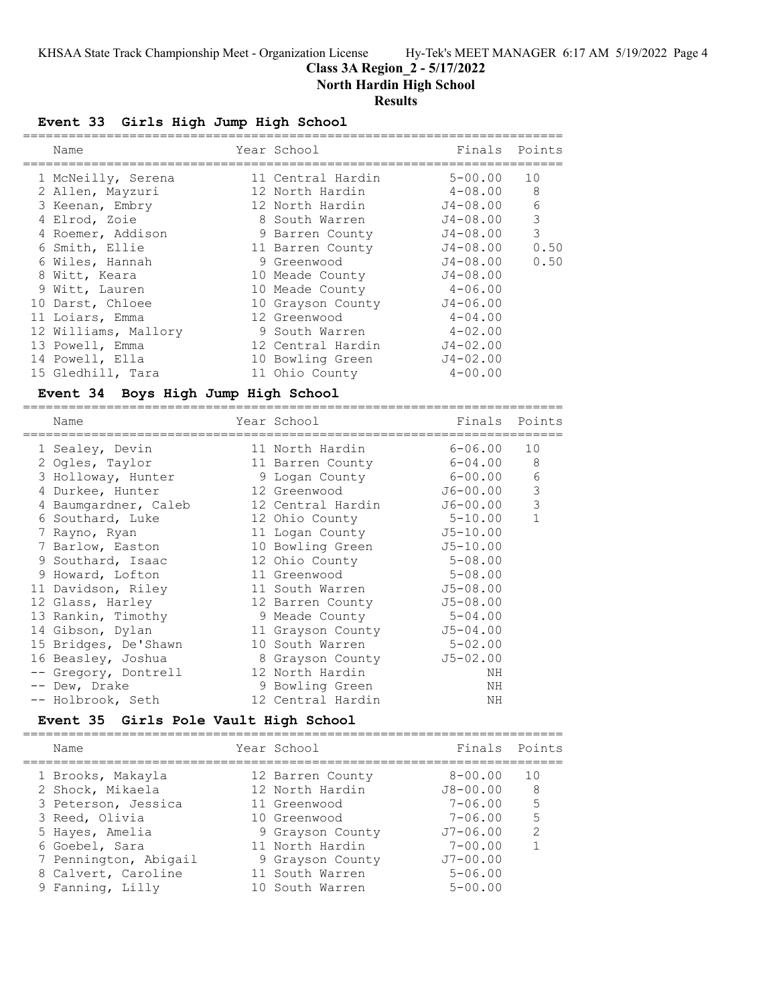# **Class 3A Region\_2 - 5/17/2022**

**North Hardin High School**

# **Results**

# **Event 33 Girls High Jump High School**

| Name                                          | Year School                                     | Finals       | Points         |
|-----------------------------------------------|-------------------------------------------------|--------------|----------------|
| 1 McNeilly, Serena                            | 11 Central Hardin                               | $5 - 00.00$  | 10             |
| 2 Allen, Mayzuri                              | 12 North Hardin                                 | $4 - 08.00$  | $\,8\,$        |
| 3 Keenan, Embry                               | 12 North Hardin                                 | $J4 - 08.00$ | 6              |
| 4 Elrod, Zoie                                 | 8 South Warren                                  | $J4 - 08.00$ | $\mathfrak{Z}$ |
| 4 Roemer, Addison                             | 9 Barren County                                 | $J4 - 08.00$ | 3              |
| 6 Smith, Ellie                                | 11 Barren County                                | J4-08.00     | 0.50           |
| 6 Wiles, Hannah                               | 9 Greenwood                                     | $J4 - 08.00$ | 0.50           |
| 8 Witt, Keara                                 | 10 Meade County                                 | $J4 - 08.00$ |                |
| 9 Witt, Lauren                                | 10 Meade County                                 | 4-06.00      |                |
| 10 Darst, Chloee                              | 10 Grayson County                               | $J4 - 06.00$ |                |
| 11 Loiars, Emma                               | 12 Greenwood                                    | $4 - 04.00$  |                |
| 12 Williams, Mallory                          | 9 South Warren                                  | $4 - 02.00$  |                |
| 13 Powell, Emma                               | 12 Central Hardin                               | $J4 - 02.00$ |                |
| 14 Powell, Ella                               | 10 Bowling Green                                | $J4 - 02.00$ |                |
| 15 Gledhill, Tara                             | 11 Ohio County                                  | $4 - 00.00$  |                |
| Boys High Jump High School<br><b>Event 34</b> |                                                 |              |                |
| ======================<br>Name                | ================================<br>Year School | Finals       | Points         |
| 1 Sealey, Devin                               | 11 North Hardin                                 | $6 - 06.00$  | 10             |
| 2 Ogles, Taylor                               | 11 Barren County                                | $6 - 04.00$  | $\,8\,$        |
| 3 Holloway, Hunter                            | 9 Logan County                                  | $6 - 00.00$  | 6              |
| 4 Durkee, Hunter                              | 12 Greenwood                                    | $J6 - 00.00$ | $\mathsf 3$    |
| 4 Baumgardner, Caleb                          | 12 Central Hardin                               | $J6 - 00.00$ | 3              |
| 6 Southard, Luke                              | 12 Ohio County                                  | $5 - 10.00$  | $\mathbf{1}$   |
| 7 Rayno, Ryan                                 | 11 Logan County                                 | $J5 - 10.00$ |                |
| 7 Barlow, Easton                              | 10 Bowling Green                                | $J5 - 10.00$ |                |
| 9 Southard, Isaac                             | 12 Ohio County                                  | $5 - 08.00$  |                |
| 9 Howard, Lofton                              | 11 Greenwood                                    | $5 - 08.00$  |                |
| 11 Davidson, Riley                            | 11 South Warren                                 | $J5 - 08.00$ |                |
| 12 Glass, Harley                              | 12 Barren County                                | $J5 - 08.00$ |                |
| 13 Rankin, Timothy                            | 9 Meade County                                  | $5 - 04.00$  |                |
| 14 Gibson, Dylan                              | 11 Grayson County                               | $J5 - 04.00$ |                |
| 15 Bridges, De'Shawn                          | 10 South Warren                                 | $5 - 02.00$  |                |
| 16 Beasley, Joshua                            | 8 Grayson County                                | $J5 - 02.00$ |                |
| -- Gregory, Dontrell                          | 12 North Hardin                                 | NH           |                |
| -- Dew, Drake                                 | 9 Bowling Green                                 | ΝH           |                |
| -- Holbrook, Seth                             | 12 Central Hardin                               | ΝH           |                |
|                                               |                                                 |              |                |

## **Event 35 Girls Pole Vault High School**

|  | Name                  | Year School      | Finals Points |               |
|--|-----------------------|------------------|---------------|---------------|
|  | 1 Brooks, Makayla     | 12 Barren County | $8 - 00.00$   | 10            |
|  | 2 Shock, Mikaela      | 12 North Hardin  | $J8 - 00.00$  | 8             |
|  | 3 Peterson, Jessica   | 11 Greenwood     | $7 - 06.00$   | 5             |
|  | 3 Reed, Olivia        | 10 Greenwood     | $7 - 06.00$   | 5             |
|  | 5 Hayes, Amelia       | 9 Grayson County | $J7 - 06.00$  | $\mathcal{L}$ |
|  | 6 Goebel, Sara        | 11 North Hardin  | $7 - 00.00$   |               |
|  | 7 Pennington, Abigail | 9 Grayson County | $J7 - 00.00$  |               |
|  | 8 Calvert, Caroline   | 11 South Warren  | $5 - 06.00$   |               |
|  | 9 Fanning, Lilly      | 10 South Warren  | $5 - 00.00$   |               |
|  |                       |                  |               |               |